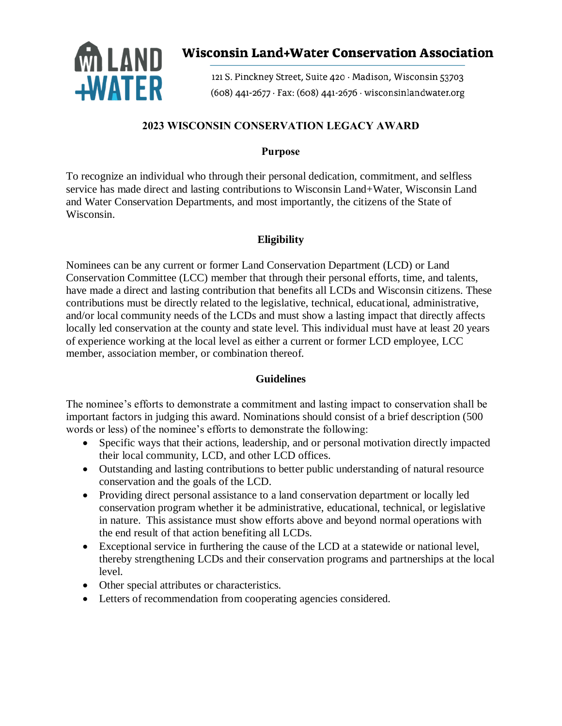

# **Wisconsin Land+Water Conservation Association**

121 S. Pinckney Street, Suite 420 · Madison, Wisconsin 53703  $(608)$  441-2677 · Fax:  $(608)$  441-2676 · wisconsinlandwater.org

# **2023 WISCONSIN CONSERVATION LEGACY AWARD**

# **Purpose**

To recognize an individual who through their personal dedication, commitment, and selfless service has made direct and lasting contributions to Wisconsin Land+Water, Wisconsin Land and Water Conservation Departments, and most importantly, the citizens of the State of Wisconsin.

# **Eligibility**

Nominees can be any current or former Land Conservation Department (LCD) or Land Conservation Committee (LCC) member that through their personal efforts, time, and talents, have made a direct and lasting contribution that benefits all LCDs and Wisconsin citizens. These contributions must be directly related to the legislative, technical, educational, administrative, and/or local community needs of the LCDs and must show a lasting impact that directly affects locally led conservation at the county and state level. This individual must have at least 20 years of experience working at the local level as either a current or former LCD employee, LCC member, association member, or combination thereof.

#### **Guidelines**

The nominee's efforts to demonstrate a commitment and lasting impact to conservation shall be important factors in judging this award. Nominations should consist of a brief description (500 words or less) of the nominee's efforts to demonstrate the following:

- Specific ways that their actions, leadership, and or personal motivation directly impacted their local community, LCD, and other LCD offices.
- Outstanding and lasting contributions to better public understanding of natural resource conservation and the goals of the LCD.
- Providing direct personal assistance to a land conservation department or locally led conservation program whether it be administrative, educational, technical, or legislative in nature. This assistance must show efforts above and beyond normal operations with the end result of that action benefiting all LCDs.
- Exceptional service in furthering the cause of the LCD at a statewide or national level, thereby strengthening LCDs and their conservation programs and partnerships at the local level.
- Other special attributes or characteristics.
- Letters of recommendation from cooperating agencies considered.